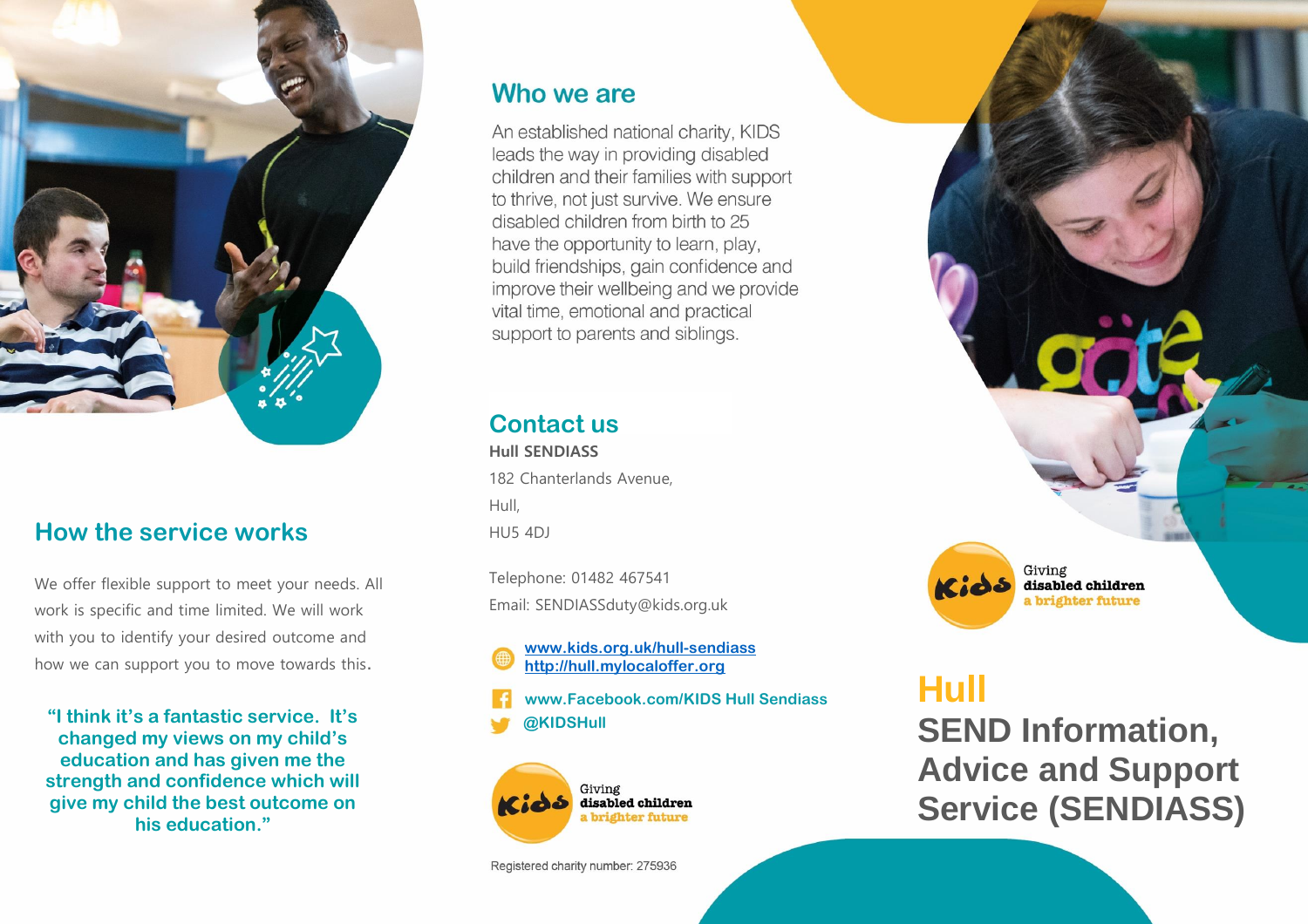

## **How the service works**

We offer flexible support to meet your needs. All work is specific and time limited. We will work with you to identify your desired outcome and how we can support you to move towards this.

**"I think it's a fantastic service. It's changed my views on my child's education and has given me the strength and confidence which will give my child the best outcome on his education."**

## Who we are

An established national charity, KIDS leads the way in providing disabled children and their families with support to thrive, not just survive. We ensure disabled children from birth to 25 have the opportunity to learn, play, build friendships, gain confidence and improve their wellbeing and we provide vital time, emotional and practical support to parents and siblings.

# **Contact us**

**Hull SENDIASS** 182 Chanterlands Avenue, Hull, HU5 4DJ

Telephone: 01482 467541 Email: SENDIASSduty@kids.org.uk

**[www.kids.org.uk/hull-sendiass](http://www.kids.org.uk/hull-sendiass) [http://hull.mylocaloffer.org](http://hull.mylocaloffer.org/)**

**@KIDSHull www.Facebook.com/KIDS Hull Sendiass**



Registered charity number: 275936



# **Hull SEND Information, Advice and Support Service (SENDIASS)**